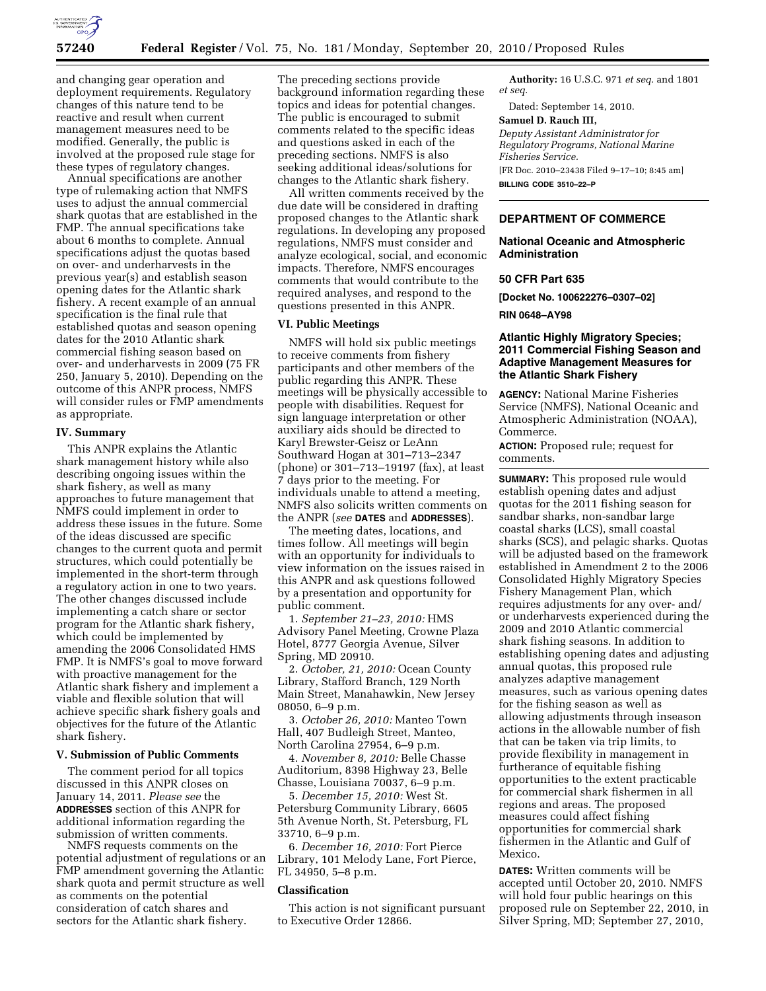

and changing gear operation and deployment requirements. Regulatory changes of this nature tend to be reactive and result when current management measures need to be modified. Generally, the public is involved at the proposed rule stage for these types of regulatory changes.

Annual specifications are another type of rulemaking action that NMFS uses to adjust the annual commercial shark quotas that are established in the FMP. The annual specifications take about 6 months to complete. Annual specifications adjust the quotas based on over- and underharvests in the previous year(s) and establish season opening dates for the Atlantic shark fishery. A recent example of an annual specification is the final rule that established quotas and season opening dates for the 2010 Atlantic shark commercial fishing season based on over- and underharvests in 2009 (75 FR 250, January 5, 2010). Depending on the outcome of this ANPR process, NMFS will consider rules or FMP amendments as appropriate.

#### **IV. Summary**

This ANPR explains the Atlantic shark management history while also describing ongoing issues within the shark fishery, as well as many approaches to future management that NMFS could implement in order to address these issues in the future. Some of the ideas discussed are specific changes to the current quota and permit structures, which could potentially be implemented in the short-term through a regulatory action in one to two years. The other changes discussed include implementing a catch share or sector program for the Atlantic shark fishery, which could be implemented by amending the 2006 Consolidated HMS FMP. It is NMFS's goal to move forward with proactive management for the Atlantic shark fishery and implement a viable and flexible solution that will achieve specific shark fishery goals and objectives for the future of the Atlantic shark fishery.

## **V. Submission of Public Comments**

The comment period for all topics discussed in this ANPR closes on January 14, 2011. *Please see* the **ADDRESSES** section of this ANPR for additional information regarding the submission of written comments.

NMFS requests comments on the potential adjustment of regulations or an FMP amendment governing the Atlantic shark quota and permit structure as well as comments on the potential consideration of catch shares and sectors for the Atlantic shark fishery.

The preceding sections provide background information regarding these topics and ideas for potential changes. The public is encouraged to submit comments related to the specific ideas and questions asked in each of the preceding sections. NMFS is also seeking additional ideas/solutions for changes to the Atlantic shark fishery.

All written comments received by the due date will be considered in drafting proposed changes to the Atlantic shark regulations. In developing any proposed regulations, NMFS must consider and analyze ecological, social, and economic impacts. Therefore, NMFS encourages comments that would contribute to the required analyses, and respond to the questions presented in this ANPR.

#### **VI. Public Meetings**

NMFS will hold six public meetings to receive comments from fishery participants and other members of the public regarding this ANPR. These meetings will be physically accessible to people with disabilities. Request for sign language interpretation or other auxiliary aids should be directed to Karyl Brewster-Geisz or LeAnn Southward Hogan at 301–713–2347 (phone) or 301–713–19197 (fax), at least 7 days prior to the meeting. For individuals unable to attend a meeting, NMFS also solicits written comments on the ANPR (*see* **DATES** and **ADDRESSES**).

The meeting dates, locations, and times follow. All meetings will begin with an opportunity for individuals to view information on the issues raised in this ANPR and ask questions followed by a presentation and opportunity for public comment.

1. *September 21–23, 2010:* HMS Advisory Panel Meeting, Crowne Plaza Hotel, 8777 Georgia Avenue, Silver Spring, MD 20910.

2. *October, 21, 2010:* Ocean County Library, Stafford Branch, 129 North Main Street, Manahawkin, New Jersey 08050, 6–9 p.m.

3. *October 26, 2010:* Manteo Town Hall, 407 Budleigh Street, Manteo, North Carolina 27954, 6–9 p.m.

4. *November 8, 2010:* Belle Chasse Auditorium, 8398 Highway 23, Belle Chasse, Louisiana 70037, 6–9 p.m.

5. *December 15, 2010:* West St. Petersburg Community Library, 6605 5th Avenue North, St. Petersburg, FL 33710, 6–9 p.m.

6. *December 16, 2010:* Fort Pierce Library, 101 Melody Lane, Fort Pierce, FL 34950, 5–8 p.m.

#### **Classification**

This action is not significant pursuant to Executive Order 12866.

**Authority:** 16 U.S.C. 971 *et seq.* and 1801 *et seq.* 

Dated: September 14, 2010.

#### **Samuel D. Rauch III,**

*Deputy Assistant Administrator for Regulatory Programs, National Marine Fisheries Service.*  [FR Doc. 2010–23438 Filed 9–17–10; 8:45 am]

**BILLING CODE 3510–22–P** 

## **DEPARTMENT OF COMMERCE**

## **National Oceanic and Atmospheric Administration**

## **50 CFR Part 635**

**[Docket No. 100622276–0307–02]** 

**RIN 0648–AY98** 

## **Atlantic Highly Migratory Species; 2011 Commercial Fishing Season and Adaptive Management Measures for the Atlantic Shark Fishery**

**AGENCY:** National Marine Fisheries Service (NMFS), National Oceanic and Atmospheric Administration (NOAA), Commerce.

**ACTION:** Proposed rule; request for comments.

**SUMMARY:** This proposed rule would establish opening dates and adjust quotas for the 2011 fishing season for sandbar sharks, non-sandbar large coastal sharks (LCS), small coastal sharks (SCS), and pelagic sharks. Quotas will be adjusted based on the framework established in Amendment 2 to the 2006 Consolidated Highly Migratory Species Fishery Management Plan, which requires adjustments for any over- and/ or underharvests experienced during the 2009 and 2010 Atlantic commercial shark fishing seasons. In addition to establishing opening dates and adjusting annual quotas, this proposed rule analyzes adaptive management measures, such as various opening dates for the fishing season as well as allowing adjustments through inseason actions in the allowable number of fish that can be taken via trip limits, to provide flexibility in management in furtherance of equitable fishing opportunities to the extent practicable for commercial shark fishermen in all regions and areas. The proposed measures could affect fishing opportunities for commercial shark fishermen in the Atlantic and Gulf of Mexico.

**DATES:** Written comments will be accepted until October 20, 2010. NMFS will hold four public hearings on this proposed rule on September 22, 2010, in Silver Spring, MD; September 27, 2010,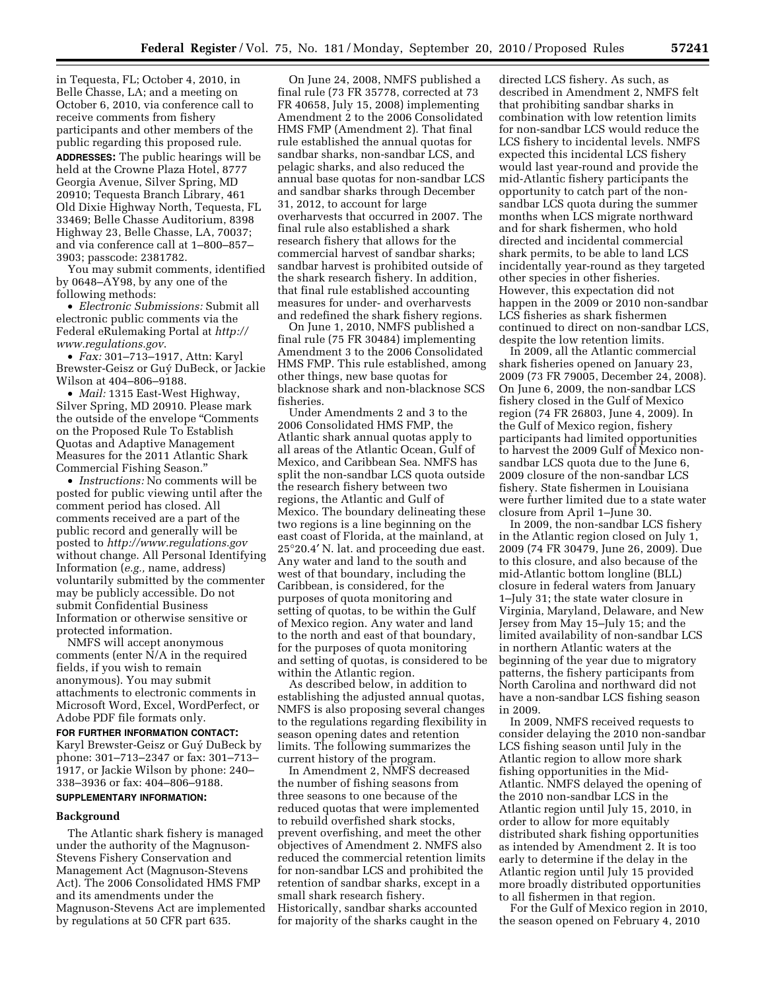in Tequesta, FL; October 4, 2010, in Belle Chasse, LA; and a meeting on October 6, 2010, via conference call to receive comments from fishery participants and other members of the public regarding this proposed rule. **ADDRESSES:** The public hearings will be held at the Crowne Plaza Hotel, 8777 Georgia Avenue, Silver Spring, MD 20910; Tequesta Branch Library, 461 Old Dixie Highway North, Tequesta, FL 33469; Belle Chasse Auditorium, 8398 Highway 23, Belle Chasse, LA, 70037; and via conference call at 1–800–857–

3903; passcode: 2381782. You may submit comments, identified by 0648–AY98, by any one of the following methods:

• *Electronic Submissions:* Submit all electronic public comments via the Federal eRulemaking Portal at *[http://](http://www.regulations.gov) [www.regulations.gov](http://www.regulations.gov)*.

• *Fax:* 301–713–1917, Attn: Karyl Brewster-Geisz or Guy´ DuBeck, or Jackie Wilson at 404–806–9188.

• *Mail:* 1315 East-West Highway, Silver Spring, MD 20910. Please mark the outside of the envelope ''Comments on the Proposed Rule To Establish Quotas and Adaptive Management Measures for the 2011 Atlantic Shark Commercial Fishing Season.''

• *Instructions:* No comments will be posted for public viewing until after the comment period has closed. All comments received are a part of the public record and generally will be posted to *<http://www.regulations.gov>* without change. All Personal Identifying Information (*e.g.,* name, address) voluntarily submitted by the commenter may be publicly accessible. Do not submit Confidential Business Information or otherwise sensitive or protected information.

NMFS will accept anonymous comments (enter N/A in the required fields, if you wish to remain anonymous). You may submit attachments to electronic comments in Microsoft Word, Excel, WordPerfect, or Adobe PDF file formats only.

**FOR FURTHER INFORMATION CONTACT:**  Karyl Brewster-Geisz or Guy´ DuBeck by phone: 301–713–2347 or fax: 301–713– 1917, or Jackie Wilson by phone: 240– 338–3936 or fax: 404–806–9188.

# **SUPPLEMENTARY INFORMATION:**

#### **Background**

The Atlantic shark fishery is managed under the authority of the Magnuson-Stevens Fishery Conservation and Management Act (Magnuson-Stevens Act). The 2006 Consolidated HMS FMP and its amendments under the Magnuson-Stevens Act are implemented by regulations at 50 CFR part 635.

On June 24, 2008, NMFS published a final rule (73 FR 35778, corrected at 73 FR 40658, July 15, 2008) implementing Amendment 2 to the 2006 Consolidated HMS FMP (Amendment 2). That final rule established the annual quotas for sandbar sharks, non-sandbar LCS, and pelagic sharks, and also reduced the annual base quotas for non-sandbar LCS and sandbar sharks through December 31, 2012, to account for large overharvests that occurred in 2007. The final rule also established a shark research fishery that allows for the commercial harvest of sandbar sharks; sandbar harvest is prohibited outside of the shark research fishery. In addition, that final rule established accounting measures for under- and overharvests and redefined the shark fishery regions.

On June 1, 2010, NMFS published a final rule (75 FR 30484) implementing Amendment 3 to the 2006 Consolidated HMS FMP. This rule established, among other things, new base quotas for blacknose shark and non-blacknose SCS fisheries.

Under Amendments 2 and 3 to the 2006 Consolidated HMS FMP, the Atlantic shark annual quotas apply to all areas of the Atlantic Ocean, Gulf of Mexico, and Caribbean Sea. NMFS has split the non-sandbar LCS quota outside the research fishery between two regions, the Atlantic and Gulf of Mexico. The boundary delineating these two regions is a line beginning on the east coast of Florida, at the mainland, at 25°20.4′ N. lat. and proceeding due east. Any water and land to the south and west of that boundary, including the Caribbean, is considered, for the purposes of quota monitoring and setting of quotas, to be within the Gulf of Mexico region. Any water and land to the north and east of that boundary, for the purposes of quota monitoring and setting of quotas, is considered to be within the Atlantic region.

As described below, in addition to establishing the adjusted annual quotas, NMFS is also proposing several changes to the regulations regarding flexibility in season opening dates and retention limits. The following summarizes the current history of the program.

In Amendment 2, NMFS decreased the number of fishing seasons from three seasons to one because of the reduced quotas that were implemented to rebuild overfished shark stocks, prevent overfishing, and meet the other objectives of Amendment 2. NMFS also reduced the commercial retention limits for non-sandbar LCS and prohibited the retention of sandbar sharks, except in a small shark research fishery. Historically, sandbar sharks accounted for majority of the sharks caught in the

directed LCS fishery. As such, as described in Amendment 2, NMFS felt that prohibiting sandbar sharks in combination with low retention limits for non-sandbar LCS would reduce the LCS fishery to incidental levels. NMFS expected this incidental LCS fishery would last year-round and provide the mid-Atlantic fishery participants the opportunity to catch part of the nonsandbar LCS quota during the summer months when LCS migrate northward and for shark fishermen, who hold directed and incidental commercial shark permits, to be able to land LCS incidentally year-round as they targeted other species in other fisheries. However, this expectation did not happen in the 2009 or 2010 non-sandbar LCS fisheries as shark fishermen continued to direct on non-sandbar LCS, despite the low retention limits.

In 2009, all the Atlantic commercial shark fisheries opened on January 23, 2009 (73 FR 79005, December 24, 2008). On June 6, 2009, the non-sandbar LCS fishery closed in the Gulf of Mexico region (74 FR 26803, June 4, 2009). In the Gulf of Mexico region, fishery participants had limited opportunities to harvest the 2009 Gulf of Mexico nonsandbar LCS quota due to the June 6, 2009 closure of the non-sandbar LCS fishery. State fishermen in Louisiana were further limited due to a state water closure from April 1–June 30.

In 2009, the non-sandbar LCS fishery in the Atlantic region closed on July 1, 2009 (74 FR 30479, June 26, 2009). Due to this closure, and also because of the mid-Atlantic bottom longline (BLL) closure in federal waters from January 1–July 31; the state water closure in Virginia, Maryland, Delaware, and New Jersey from May 15–July 15; and the limited availability of non-sandbar LCS in northern Atlantic waters at the beginning of the year due to migratory patterns, the fishery participants from North Carolina and northward did not have a non-sandbar LCS fishing season in 2009.

In 2009, NMFS received requests to consider delaying the 2010 non-sandbar LCS fishing season until July in the Atlantic region to allow more shark fishing opportunities in the Mid-Atlantic. NMFS delayed the opening of the 2010 non-sandbar LCS in the Atlantic region until July 15, 2010, in order to allow for more equitably distributed shark fishing opportunities as intended by Amendment 2. It is too early to determine if the delay in the Atlantic region until July 15 provided more broadly distributed opportunities to all fishermen in that region.

For the Gulf of Mexico region in 2010, the season opened on February 4, 2010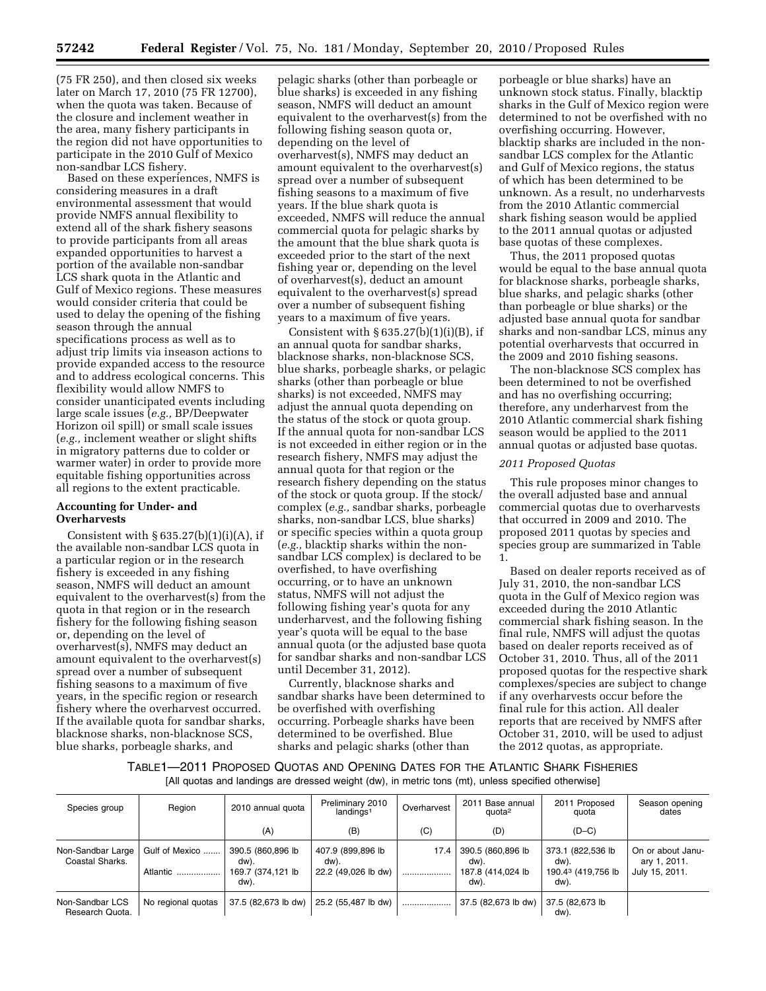(75 FR 250), and then closed six weeks later on March 17, 2010 (75 FR 12700), when the quota was taken. Because of the closure and inclement weather in the area, many fishery participants in the region did not have opportunities to participate in the 2010 Gulf of Mexico non-sandbar LCS fishery.

Based on these experiences, NMFS is considering measures in a draft environmental assessment that would provide NMFS annual flexibility to extend all of the shark fishery seasons to provide participants from all areas expanded opportunities to harvest a portion of the available non-sandbar LCS shark quota in the Atlantic and Gulf of Mexico regions. These measures would consider criteria that could be used to delay the opening of the fishing season through the annual specifications process as well as to adjust trip limits via inseason actions to provide expanded access to the resource and to address ecological concerns. This flexibility would allow NMFS to consider unanticipated events including large scale issues (*e.g.,* BP/Deepwater Horizon oil spill) or small scale issues (*e.g.,* inclement weather or slight shifts in migratory patterns due to colder or warmer water) in order to provide more equitable fishing opportunities across all regions to the extent practicable.

# **Accounting for Under- and Overharvests**

Consistent with  $§ 635.27(b)(1)(i)(A)$ , if the available non-sandbar LCS quota in a particular region or in the research fishery is exceeded in any fishing season, NMFS will deduct an amount equivalent to the overharvest(s) from the quota in that region or in the research fishery for the following fishing season or, depending on the level of overharvest(s), NMFS may deduct an amount equivalent to the overharvest(s) spread over a number of subsequent fishing seasons to a maximum of five years, in the specific region or research fishery where the overharvest occurred. If the available quota for sandbar sharks, blacknose sharks, non-blacknose SCS, blue sharks, porbeagle sharks, and

pelagic sharks (other than porbeagle or blue sharks) is exceeded in any fishing season, NMFS will deduct an amount equivalent to the overharvest(s) from the following fishing season quota or, depending on the level of overharvest(s), NMFS may deduct an amount equivalent to the overharvest(s) spread over a number of subsequent fishing seasons to a maximum of five years. If the blue shark quota is exceeded, NMFS will reduce the annual commercial quota for pelagic sharks by the amount that the blue shark quota is exceeded prior to the start of the next fishing year or, depending on the level of overharvest(s), deduct an amount equivalent to the overharvest(s) spread over a number of subsequent fishing years to a maximum of five years.

Consistent with  $\S 635.27(b)(1)(i)(B)$ , if an annual quota for sandbar sharks, blacknose sharks, non-blacknose SCS, blue sharks, porbeagle sharks, or pelagic sharks (other than porbeagle or blue sharks) is not exceeded, NMFS may adjust the annual quota depending on the status of the stock or quota group. If the annual quota for non-sandbar LCS is not exceeded in either region or in the research fishery, NMFS may adjust the annual quota for that region or the research fishery depending on the status of the stock or quota group. If the stock/ complex (*e.g.,* sandbar sharks, porbeagle sharks, non-sandbar LCS, blue sharks) or specific species within a quota group (*e.g.,* blacktip sharks within the nonsandbar LCS complex) is declared to be overfished, to have overfishing occurring, or to have an unknown status, NMFS will not adjust the following fishing year's quota for any underharvest, and the following fishing year's quota will be equal to the base annual quota (or the adjusted base quota for sandbar sharks and non-sandbar LCS until December 31, 2012).

Currently, blacknose sharks and sandbar sharks have been determined to be overfished with overfishing occurring. Porbeagle sharks have been determined to be overfished. Blue sharks and pelagic sharks (other than

porbeagle or blue sharks) have an unknown stock status. Finally, blacktip sharks in the Gulf of Mexico region were determined to not be overfished with no overfishing occurring. However, blacktip sharks are included in the nonsandbar LCS complex for the Atlantic and Gulf of Mexico regions, the status of which has been determined to be unknown. As a result, no underharvests from the 2010 Atlantic commercial shark fishing season would be applied to the 2011 annual quotas or adjusted base quotas of these complexes.

Thus, the 2011 proposed quotas would be equal to the base annual quota for blacknose sharks, porbeagle sharks, blue sharks, and pelagic sharks (other than porbeagle or blue sharks) or the adjusted base annual quota for sandbar sharks and non-sandbar LCS, minus any potential overharvests that occurred in the 2009 and 2010 fishing seasons.

The non-blacknose SCS complex has been determined to not be overfished and has no overfishing occurring; therefore, any underharvest from the 2010 Atlantic commercial shark fishing season would be applied to the 2011 annual quotas or adjusted base quotas.

#### *2011 Proposed Quotas*

This rule proposes minor changes to the overall adjusted base and annual commercial quotas due to overharvests that occurred in 2009 and 2010. The proposed 2011 quotas by species and species group are summarized in Table 1.

Based on dealer reports received as of July 31, 2010, the non-sandbar LCS quota in the Gulf of Mexico region was exceeded during the 2010 Atlantic commercial shark fishing season. In the final rule, NMFS will adjust the quotas based on dealer reports received as of October 31, 2010. Thus, all of the 2011 proposed quotas for the respective shark complexes/species are subject to change if any overharvests occur before the final rule for this action. All dealer reports that are received by NMFS after October 31, 2010, will be used to adjust the 2012 quotas, as appropriate.

TABLE1—2011 PROPOSED QUOTAS AND OPENING DATES FOR THE ATLANTIC SHARK FISHERIES [All quotas and landings are dressed weight (dw), in metric tons (mt), unless specified otherwise]

| Species group                        | Region                     | 2010 annual quota                                      | Preliminary 2010<br>landings <sup>1</sup>        | Overharvest | 2011 Base annual<br>quota <sup>2</sup>                 | 2011 Proposed<br>quota                                  | Season opening<br>dates                             |
|--------------------------------------|----------------------------|--------------------------------------------------------|--------------------------------------------------|-------------|--------------------------------------------------------|---------------------------------------------------------|-----------------------------------------------------|
|                                      |                            | (A)                                                    | (B)                                              | (C)         | (D)                                                    | $(D-C)$                                                 |                                                     |
| Non-Sandbar Large<br>Coastal Sharks. | Gulf of Mexico<br>Atlantic | 390.5 (860,896 lb<br>dw).<br>169.7 (374.121 lb<br>dw). | 407.9 (899,896 lb<br>dw).<br>22.2 (49.026 lb dw) | 17.4<br>.   | 390.5 (860,896 lb<br>dw).<br>187.8 (414,024 lb<br>dw). | 373.1 (822,536 lb<br>dw).<br>190.43 (419,756 lb<br>dw). | On or about Janu-<br>ary 1, 2011.<br>July 15, 2011. |
| Non-Sandbar LCS<br>Research Quota.   | No regional quotas         | 37.5 (82,673 lb dw)                                    | 25.2 (55,487 lb dw)                              |             | 37.5 (82,673 lb dw)                                    | 37.5 (82,673 lb)<br>dw).                                |                                                     |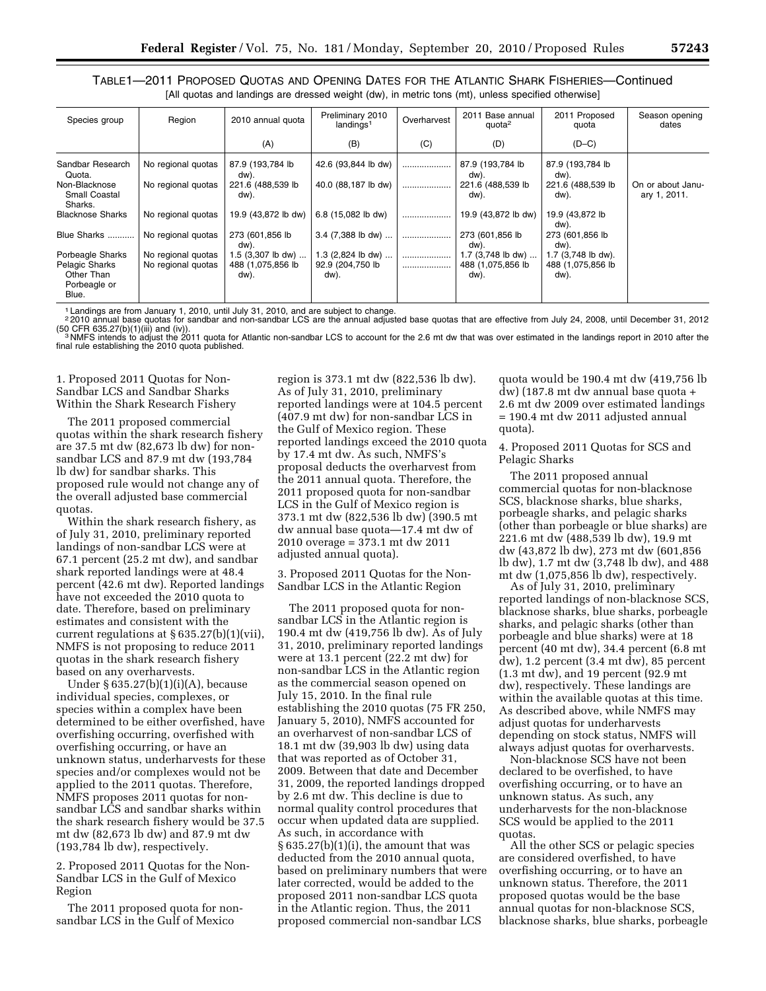TABLE1—2011 PROPOSED QUOTAS AND OPENING DATES FOR THE ATLANTIC SHARK FISHERIES—Continued [All quotas and landings are dressed weight (dw), in metric tons (mt), unless specified otherwise]

| Species group                                         | Region             | 2010 annual quota         | Preliminary 2010<br>landings <sup>1</sup> | Overharvest | 2011 Base annual<br>quota <sup>2</sup> | 2011 Proposed<br>quota    | Season opening<br>dates           |
|-------------------------------------------------------|--------------------|---------------------------|-------------------------------------------|-------------|----------------------------------------|---------------------------|-----------------------------------|
|                                                       |                    | (A)                       | (B)                                       | (C)         | (D)                                    | $(D-C)$                   |                                   |
| Sandbar Research<br>Quota.                            | No regional quotas | 87.9 (193,784 lb<br>dw).  | 42.6 (93,844 lb dw)                       |             | 87.9 (193,784 lb<br>dw).               | 87.9 (193,784 lb<br>dw).  |                                   |
| Non-Blacknose<br><b>Small Coastal</b><br>Sharks.      | No regional quotas | 221.6 (488,539 lb<br>dw). | 40.0 (88,187 lb dw)                       |             | 221.6 (488,539 lb<br>dw).              | 221.6 (488,539 lb<br>dw). | On or about Janu-<br>ary 1, 2011. |
| <b>Blacknose Sharks</b>                               | No regional quotas | 19.9 (43,872 lb dw)       | 6.8 (15,082 lb dw)                        |             | 19.9 (43,872 lb dw)                    | 19.9 (43,872 lb<br>dw).   |                                   |
| Blue Sharks                                           | No regional quotas | 273 (601,856 lb)<br>dw).  | 3.4 (7,388 lb dw)                         |             | 273 (601,856 lb)<br>dw).               | 273 (601,856 lb<br>dw).   |                                   |
| Porbeagle Sharks                                      | No regional quotas | $1.5$ (3,307 lb dw)       | $1.3$ (2,824 lb dw)                       |             | 1.7 (3,748 lb dw)                      | 1.7 (3,748 lb dw).        |                                   |
| Pelagic Sharks<br>Other Than<br>Porbeagle or<br>Blue. | No regional quotas | 488 (1,075,856 lb<br>dw). | 92.9 (204,750 lb<br>dw).                  |             | 488 (1,075,856 lb<br>dw).              | 488 (1,075,856 lb<br>dw). |                                   |
|                                                       |                    |                           |                                           |             |                                        |                           |                                   |

1 Landings are from January 1, 2010, until July 31, 2010, and are subject to change.<br><sup>2</sup> 2010 annual base quotas for sandbar and non-sandbar LCS are the annual adjusted base quotas that are effective from July 24, 2008, un

<sup>3</sup> NMFS intends to adjust the 2011 quota for Atlantic non-sandbar LCS to account for the 2.6 mt dw that was over estimated in the landings report in 2010 after the final rule establishing the 2010 quota published.

### 1. Proposed 2011 Quotas for Non-Sandbar LCS and Sandbar Sharks Within the Shark Research Fishery

The 2011 proposed commercial quotas within the shark research fishery are 37.5 mt dw (82,673 lb dw) for nonsandbar LCS and 87.9 mt dw (193,784 lb dw) for sandbar sharks. This proposed rule would not change any of the overall adjusted base commercial quotas.

Within the shark research fishery, as of July 31, 2010, preliminary reported landings of non-sandbar LCS were at 67.1 percent (25.2 mt dw), and sandbar shark reported landings were at 48.4 percent (42.6 mt dw). Reported landings have not exceeded the 2010 quota to date. Therefore, based on preliminary estimates and consistent with the current regulations at § 635.27(b)(1)(vii), NMFS is not proposing to reduce 2011 quotas in the shark research fishery based on any overharvests.

Under § 635.27(b)(1)(i)(A), because individual species, complexes, or species within a complex have been determined to be either overfished, have overfishing occurring, overfished with overfishing occurring, or have an unknown status, underharvests for these species and/or complexes would not be applied to the 2011 quotas. Therefore, NMFS proposes 2011 quotas for nonsandbar LCS and sandbar sharks within the shark research fishery would be 37.5 mt dw (82,673 lb dw) and 87.9 mt dw (193,784 lb dw), respectively.

2. Proposed 2011 Quotas for the Non-Sandbar LCS in the Gulf of Mexico Region

The 2011 proposed quota for nonsandbar LCS in the Gulf of Mexico

region is 373.1 mt dw (822,536 lb dw). As of July 31, 2010, preliminary reported landings were at 104.5 percent (407.9 mt dw) for non-sandbar LCS in the Gulf of Mexico region. These reported landings exceed the 2010 quota by 17.4 mt dw. As such, NMFS's proposal deducts the overharvest from the 2011 annual quota. Therefore, the 2011 proposed quota for non-sandbar LCS in the Gulf of Mexico region is 373.1 mt dw (822,536 lb dw) (390.5 mt dw annual base quota—17.4 mt dw of 2010 overage = 373.1 mt dw 2011 adjusted annual quota).

3. Proposed 2011 Quotas for the Non-Sandbar LCS in the Atlantic Region

The 2011 proposed quota for nonsandbar LCS in the Atlantic region is 190.4 mt dw (419,756 lb dw). As of July 31, 2010, preliminary reported landings were at 13.1 percent (22.2 mt dw) for non-sandbar LCS in the Atlantic region as the commercial season opened on July 15, 2010. In the final rule establishing the 2010 quotas (75 FR 250, January 5, 2010), NMFS accounted for an overharvest of non-sandbar LCS of 18.1 mt dw (39,903 lb dw) using data that was reported as of October 31, 2009. Between that date and December 31, 2009, the reported landings dropped by 2.6 mt dw. This decline is due to normal quality control procedures that occur when updated data are supplied. As such, in accordance with  $§ 635.27(b)(1)(i)$ , the amount that was deducted from the 2010 annual quota, based on preliminary numbers that were later corrected, would be added to the proposed 2011 non-sandbar LCS quota in the Atlantic region. Thus, the 2011 proposed commercial non-sandbar LCS

quota would be 190.4 mt dw (419,756 lb dw) (187.8 mt dw annual base quota + 2.6 mt dw 2009 over estimated landings = 190.4 mt dw 2011 adjusted annual quota).

4. Proposed 2011 Quotas for SCS and Pelagic Sharks

The 2011 proposed annual commercial quotas for non-blacknose SCS, blacknose sharks, blue sharks, porbeagle sharks, and pelagic sharks (other than porbeagle or blue sharks) are 221.6 mt dw (488,539 lb dw), 19.9 mt dw (43,872 lb dw), 273 mt dw (601,856 lb dw), 1.7 mt dw (3,748 lb dw), and 488 mt dw (1,075,856 lb dw), respectively.

As of July 31, 2010, preliminary reported landings of non-blacknose SCS, blacknose sharks, blue sharks, porbeagle sharks, and pelagic sharks (other than porbeagle and blue sharks) were at 18 percent (40 mt dw), 34.4 percent (6.8 mt dw), 1.2 percent (3.4 mt dw), 85 percent (1.3 mt dw), and 19 percent (92.9 mt dw), respectively. These landings are within the available quotas at this time. As described above, while NMFS may adjust quotas for underharvests depending on stock status, NMFS will always adjust quotas for overharvests.

Non-blacknose SCS have not been declared to be overfished, to have overfishing occurring, or to have an unknown status. As such, any underharvests for the non-blacknose SCS would be applied to the 2011 quotas.

All the other SCS or pelagic species are considered overfished, to have overfishing occurring, or to have an unknown status. Therefore, the 2011 proposed quotas would be the base annual quotas for non-blacknose SCS, blacknose sharks, blue sharks, porbeagle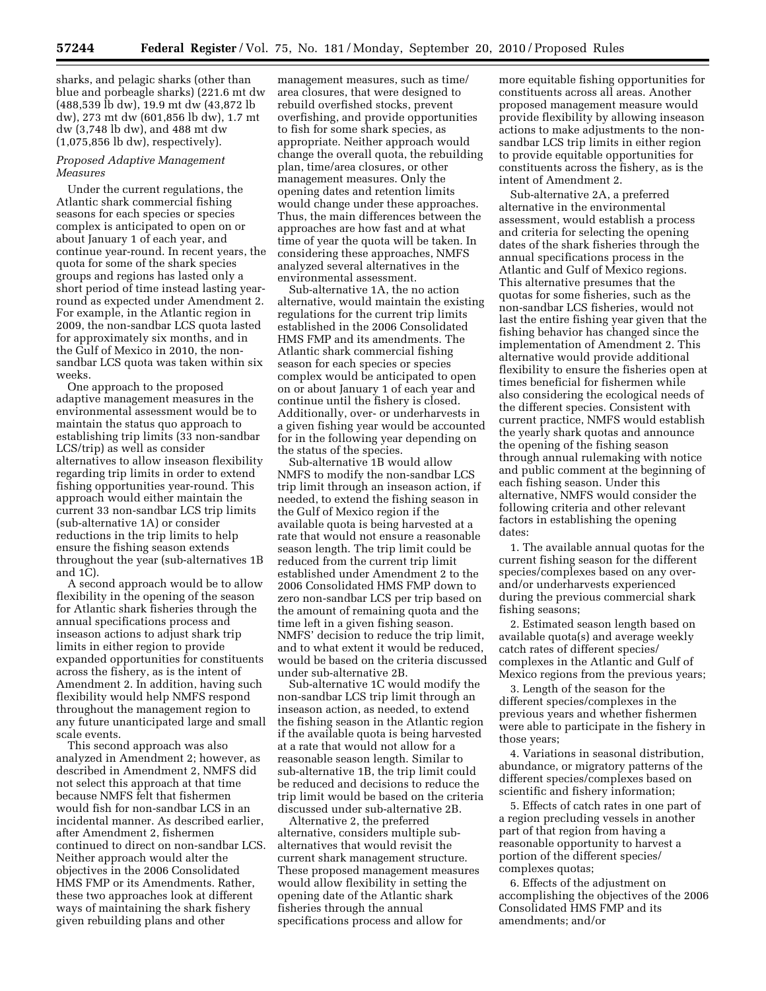sharks, and pelagic sharks (other than blue and porbeagle sharks) (221.6 mt dw (488,539 lb dw), 19.9 mt dw (43,872 lb dw), 273 mt dw (601,856 lb dw), 1.7 mt dw (3,748 lb dw), and 488 mt dw (1,075,856 lb dw), respectively).

## *Proposed Adaptive Management Measures*

Under the current regulations, the Atlantic shark commercial fishing seasons for each species or species complex is anticipated to open on or about January 1 of each year, and continue year-round. In recent years, the quota for some of the shark species groups and regions has lasted only a short period of time instead lasting yearround as expected under Amendment 2. For example, in the Atlantic region in 2009, the non-sandbar LCS quota lasted for approximately six months, and in the Gulf of Mexico in 2010, the nonsandbar LCS quota was taken within six weeks.

One approach to the proposed adaptive management measures in the environmental assessment would be to maintain the status quo approach to establishing trip limits (33 non-sandbar LCS/trip) as well as consider alternatives to allow inseason flexibility regarding trip limits in order to extend fishing opportunities year-round. This approach would either maintain the current 33 non-sandbar LCS trip limits (sub-alternative 1A) or consider reductions in the trip limits to help ensure the fishing season extends throughout the year (sub-alternatives 1B and 1C).

A second approach would be to allow flexibility in the opening of the season for Atlantic shark fisheries through the annual specifications process and inseason actions to adjust shark trip limits in either region to provide expanded opportunities for constituents across the fishery, as is the intent of Amendment 2. In addition, having such flexibility would help NMFS respond throughout the management region to any future unanticipated large and small scale events.

This second approach was also analyzed in Amendment 2; however, as described in Amendment 2, NMFS did not select this approach at that time because NMFS felt that fishermen would fish for non-sandbar LCS in an incidental manner. As described earlier, after Amendment 2, fishermen continued to direct on non-sandbar LCS. Neither approach would alter the objectives in the 2006 Consolidated HMS FMP or its Amendments. Rather, these two approaches look at different ways of maintaining the shark fishery given rebuilding plans and other

management measures, such as time/ area closures, that were designed to rebuild overfished stocks, prevent overfishing, and provide opportunities to fish for some shark species, as appropriate. Neither approach would change the overall quota, the rebuilding plan, time/area closures, or other management measures. Only the opening dates and retention limits would change under these approaches. Thus, the main differences between the approaches are how fast and at what time of year the quota will be taken. In considering these approaches, NMFS analyzed several alternatives in the environmental assessment.

Sub-alternative 1A, the no action alternative, would maintain the existing regulations for the current trip limits established in the 2006 Consolidated HMS FMP and its amendments. The Atlantic shark commercial fishing season for each species or species complex would be anticipated to open on or about January 1 of each year and continue until the fishery is closed. Additionally, over- or underharvests in a given fishing year would be accounted for in the following year depending on the status of the species.

Sub-alternative 1B would allow NMFS to modify the non-sandbar LCS trip limit through an inseason action, if needed, to extend the fishing season in the Gulf of Mexico region if the available quota is being harvested at a rate that would not ensure a reasonable season length. The trip limit could be reduced from the current trip limit established under Amendment 2 to the 2006 Consolidated HMS FMP down to zero non-sandbar LCS per trip based on the amount of remaining quota and the time left in a given fishing season. NMFS' decision to reduce the trip limit, and to what extent it would be reduced, would be based on the criteria discussed under sub-alternative 2B.

Sub-alternative 1C would modify the non-sandbar LCS trip limit through an inseason action, as needed, to extend the fishing season in the Atlantic region if the available quota is being harvested at a rate that would not allow for a reasonable season length. Similar to sub-alternative 1B, the trip limit could be reduced and decisions to reduce the trip limit would be based on the criteria discussed under sub-alternative 2B.

Alternative 2, the preferred alternative, considers multiple subalternatives that would revisit the current shark management structure. These proposed management measures would allow flexibility in setting the opening date of the Atlantic shark fisheries through the annual specifications process and allow for

more equitable fishing opportunities for constituents across all areas. Another proposed management measure would provide flexibility by allowing inseason actions to make adjustments to the nonsandbar LCS trip limits in either region to provide equitable opportunities for constituents across the fishery, as is the intent of Amendment 2.

Sub-alternative 2A, a preferred alternative in the environmental assessment, would establish a process and criteria for selecting the opening dates of the shark fisheries through the annual specifications process in the Atlantic and Gulf of Mexico regions. This alternative presumes that the quotas for some fisheries, such as the non-sandbar LCS fisheries, would not last the entire fishing year given that the fishing behavior has changed since the implementation of Amendment 2. This alternative would provide additional flexibility to ensure the fisheries open at times beneficial for fishermen while also considering the ecological needs of the different species. Consistent with current practice, NMFS would establish the yearly shark quotas and announce the opening of the fishing season through annual rulemaking with notice and public comment at the beginning of each fishing season. Under this alternative, NMFS would consider the following criteria and other relevant factors in establishing the opening dates:

1. The available annual quotas for the current fishing season for the different species/complexes based on any overand/or underharvests experienced during the previous commercial shark fishing seasons;

2. Estimated season length based on available quota(s) and average weekly catch rates of different species/ complexes in the Atlantic and Gulf of Mexico regions from the previous years;

3. Length of the season for the different species/complexes in the previous years and whether fishermen were able to participate in the fishery in those years;

4. Variations in seasonal distribution, abundance, or migratory patterns of the different species/complexes based on scientific and fishery information;

5. Effects of catch rates in one part of a region precluding vessels in another part of that region from having a reasonable opportunity to harvest a portion of the different species/ complexes quotas;

6. Effects of the adjustment on accomplishing the objectives of the 2006 Consolidated HMS FMP and its amendments; and/or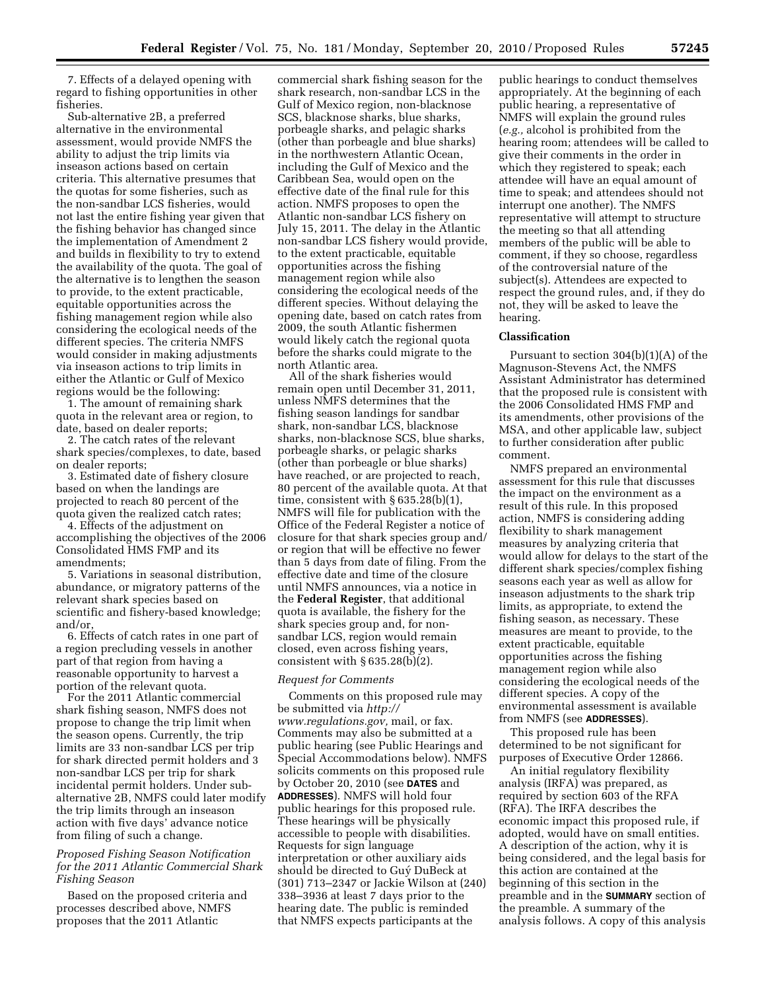7. Effects of a delayed opening with regard to fishing opportunities in other fisheries.

Sub-alternative 2B, a preferred alternative in the environmental assessment, would provide NMFS the ability to adjust the trip limits via inseason actions based on certain criteria. This alternative presumes that the quotas for some fisheries, such as the non-sandbar LCS fisheries, would not last the entire fishing year given that the fishing behavior has changed since the implementation of Amendment 2 and builds in flexibility to try to extend the availability of the quota. The goal of the alternative is to lengthen the season to provide, to the extent practicable, equitable opportunities across the fishing management region while also considering the ecological needs of the different species. The criteria NMFS would consider in making adjustments via inseason actions to trip limits in either the Atlantic or Gulf of Mexico regions would be the following:

1. The amount of remaining shark quota in the relevant area or region, to date, based on dealer reports;

2. The catch rates of the relevant shark species/complexes, to date, based on dealer reports;

3. Estimated date of fishery closure based on when the landings are projected to reach 80 percent of the quota given the realized catch rates;

4. Effects of the adjustment on accomplishing the objectives of the 2006 Consolidated HMS FMP and its amendments;

5. Variations in seasonal distribution, abundance, or migratory patterns of the relevant shark species based on scientific and fishery-based knowledge; and/or,

6. Effects of catch rates in one part of a region precluding vessels in another part of that region from having a reasonable opportunity to harvest a portion of the relevant quota.

For the 2011 Atlantic commercial shark fishing season, NMFS does not propose to change the trip limit when the season opens. Currently, the trip limits are 33 non-sandbar LCS per trip for shark directed permit holders and 3 non-sandbar LCS per trip for shark incidental permit holders. Under subalternative 2B, NMFS could later modify the trip limits through an inseason action with five days' advance notice from filing of such a change.

## *Proposed Fishing Season Notification for the 2011 Atlantic Commercial Shark Fishing Season*

Based on the proposed criteria and processes described above, NMFS proposes that the 2011 Atlantic

commercial shark fishing season for the shark research, non-sandbar LCS in the Gulf of Mexico region, non-blacknose SCS, blacknose sharks, blue sharks, porbeagle sharks, and pelagic sharks (other than porbeagle and blue sharks) in the northwestern Atlantic Ocean, including the Gulf of Mexico and the Caribbean Sea, would open on the effective date of the final rule for this action. NMFS proposes to open the Atlantic non-sandbar LCS fishery on July 15, 2011. The delay in the Atlantic non-sandbar LCS fishery would provide, to the extent practicable, equitable opportunities across the fishing management region while also considering the ecological needs of the different species. Without delaying the opening date, based on catch rates from 2009, the south Atlantic fishermen would likely catch the regional quota before the sharks could migrate to the north Atlantic area.

All of the shark fisheries would remain open until December 31, 2011, unless NMFS determines that the fishing season landings for sandbar shark, non-sandbar LCS, blacknose sharks, non-blacknose SCS, blue sharks, porbeagle sharks, or pelagic sharks (other than porbeagle or blue sharks) have reached, or are projected to reach, 80 percent of the available quota. At that time, consistent with  $\S 635.28(b)(1)$ , NMFS will file for publication with the Office of the Federal Register a notice of closure for that shark species group and/ or region that will be effective no fewer than 5 days from date of filing. From the effective date and time of the closure until NMFS announces, via a notice in the **Federal Register**, that additional quota is available, the fishery for the shark species group and, for nonsandbar LCS, region would remain closed, even across fishing years, consistent with  $\S 635.28(b)(2)$ .

#### *Request for Comments*

Comments on this proposed rule may be submitted via *[http://](http://www.regulations.gov) [www.regulations.gov,](http://www.regulations.gov)* mail, or fax. Comments may also be submitted at a public hearing (see Public Hearings and Special Accommodations below). NMFS solicits comments on this proposed rule by October 20, 2010 (see **DATES** and **ADDRESSES**). NMFS will hold four public hearings for this proposed rule. These hearings will be physically accessible to people with disabilities. Requests for sign language interpretation or other auxiliary aids should be directed to Guy´ DuBeck at (301) 713–2347 or Jackie Wilson at (240) 338–3936 at least 7 days prior to the hearing date. The public is reminded that NMFS expects participants at the

public hearings to conduct themselves appropriately. At the beginning of each public hearing, a representative of NMFS will explain the ground rules (*e.g.,* alcohol is prohibited from the hearing room; attendees will be called to give their comments in the order in which they registered to speak; each attendee will have an equal amount of time to speak; and attendees should not interrupt one another). The NMFS representative will attempt to structure the meeting so that all attending members of the public will be able to comment, if they so choose, regardless of the controversial nature of the subject(s). Attendees are expected to respect the ground rules, and, if they do not, they will be asked to leave the hearing.

#### **Classification**

Pursuant to section 304(b)(1)(A) of the Magnuson-Stevens Act, the NMFS Assistant Administrator has determined that the proposed rule is consistent with the 2006 Consolidated HMS FMP and its amendments, other provisions of the MSA, and other applicable law, subject to further consideration after public comment.

NMFS prepared an environmental assessment for this rule that discusses the impact on the environment as a result of this rule. In this proposed action, NMFS is considering adding flexibility to shark management measures by analyzing criteria that would allow for delays to the start of the different shark species/complex fishing seasons each year as well as allow for inseason adjustments to the shark trip limits, as appropriate, to extend the fishing season, as necessary. These measures are meant to provide, to the extent practicable, equitable opportunities across the fishing management region while also considering the ecological needs of the different species. A copy of the environmental assessment is available from NMFS (see **ADDRESSES**).

This proposed rule has been determined to be not significant for purposes of Executive Order 12866.

An initial regulatory flexibility analysis (IRFA) was prepared, as required by section 603 of the RFA (RFA). The IRFA describes the economic impact this proposed rule, if adopted, would have on small entities. A description of the action, why it is being considered, and the legal basis for this action are contained at the beginning of this section in the preamble and in the **SUMMARY** section of the preamble. A summary of the analysis follows. A copy of this analysis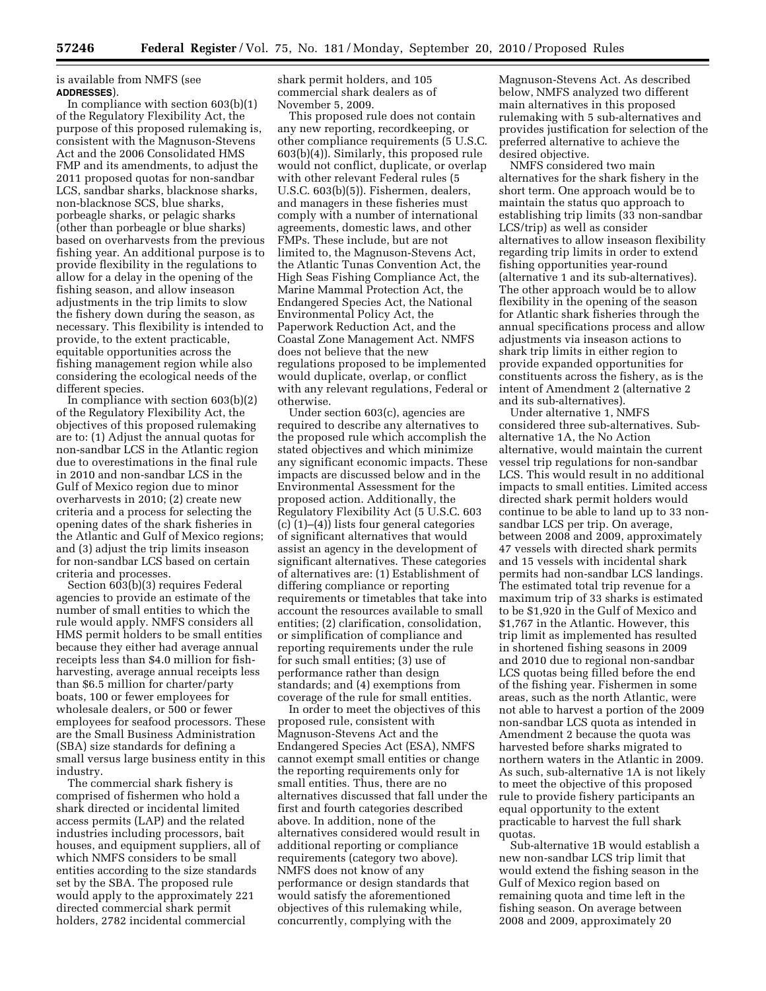is available from NMFS (see **ADDRESSES**).

In compliance with section  $603(b)(1)$ of the Regulatory Flexibility Act, the purpose of this proposed rulemaking is, consistent with the Magnuson-Stevens Act and the 2006 Consolidated HMS FMP and its amendments, to adjust the 2011 proposed quotas for non-sandbar LCS, sandbar sharks, blacknose sharks, non-blacknose SCS, blue sharks, porbeagle sharks, or pelagic sharks (other than porbeagle or blue sharks) based on overharvests from the previous fishing year. An additional purpose is to provide flexibility in the regulations to allow for a delay in the opening of the fishing season, and allow inseason adjustments in the trip limits to slow the fishery down during the season, as necessary. This flexibility is intended to provide, to the extent practicable, equitable opportunities across the fishing management region while also considering the ecological needs of the different species.

In compliance with section 603(b)(2) of the Regulatory Flexibility Act, the objectives of this proposed rulemaking are to: (1) Adjust the annual quotas for non-sandbar LCS in the Atlantic region due to overestimations in the final rule in 2010 and non-sandbar LCS in the Gulf of Mexico region due to minor overharvests in 2010; (2) create new criteria and a process for selecting the opening dates of the shark fisheries in the Atlantic and Gulf of Mexico regions; and (3) adjust the trip limits inseason for non-sandbar LCS based on certain criteria and processes.

Section 603(b)(3) requires Federal agencies to provide an estimate of the number of small entities to which the rule would apply. NMFS considers all HMS permit holders to be small entities because they either had average annual receipts less than \$4.0 million for fishharvesting, average annual receipts less than \$6.5 million for charter/party boats, 100 or fewer employees for wholesale dealers, or 500 or fewer employees for seafood processors. These are the Small Business Administration (SBA) size standards for defining a small versus large business entity in this industry.

The commercial shark fishery is comprised of fishermen who hold a shark directed or incidental limited access permits (LAP) and the related industries including processors, bait houses, and equipment suppliers, all of which NMFS considers to be small entities according to the size standards set by the SBA. The proposed rule would apply to the approximately 221 directed commercial shark permit holders, 2782 incidental commercial

shark permit holders, and 105 commercial shark dealers as of November 5, 2009.

This proposed rule does not contain any new reporting, recordkeeping, or other compliance requirements (5 U.S.C. 603(b)(4)). Similarly, this proposed rule would not conflict, duplicate, or overlap with other relevant Federal rules (5 U.S.C. 603(b)(5)). Fishermen, dealers, and managers in these fisheries must comply with a number of international agreements, domestic laws, and other FMPs. These include, but are not limited to, the Magnuson-Stevens Act, the Atlantic Tunas Convention Act, the High Seas Fishing Compliance Act, the Marine Mammal Protection Act, the Endangered Species Act, the National Environmental Policy Act, the Paperwork Reduction Act, and the Coastal Zone Management Act. NMFS does not believe that the new regulations proposed to be implemented would duplicate, overlap, or conflict with any relevant regulations, Federal or otherwise.

Under section 603(c), agencies are required to describe any alternatives to the proposed rule which accomplish the stated objectives and which minimize any significant economic impacts. These impacts are discussed below and in the Environmental Assessment for the proposed action. Additionally, the Regulatory Flexibility Act (5 U.S.C. 603 (c) (1)–(4)) lists four general categories of significant alternatives that would assist an agency in the development of significant alternatives. These categories of alternatives are: (1) Establishment of differing compliance or reporting requirements or timetables that take into account the resources available to small entities; (2) clarification, consolidation, or simplification of compliance and reporting requirements under the rule for such small entities; (3) use of performance rather than design standards; and (4) exemptions from coverage of the rule for small entities.

In order to meet the objectives of this proposed rule, consistent with Magnuson-Stevens Act and the Endangered Species Act (ESA), NMFS cannot exempt small entities or change the reporting requirements only for small entities. Thus, there are no alternatives discussed that fall under the first and fourth categories described above. In addition, none of the alternatives considered would result in additional reporting or compliance requirements (category two above). NMFS does not know of any performance or design standards that would satisfy the aforementioned objectives of this rulemaking while, concurrently, complying with the

Magnuson-Stevens Act. As described below, NMFS analyzed two different main alternatives in this proposed rulemaking with 5 sub-alternatives and provides justification for selection of the preferred alternative to achieve the desired objective.

NMFS considered two main alternatives for the shark fishery in the short term. One approach would be to maintain the status quo approach to establishing trip limits (33 non-sandbar LCS/trip) as well as consider alternatives to allow inseason flexibility regarding trip limits in order to extend fishing opportunities year-round (alternative 1 and its sub-alternatives). The other approach would be to allow flexibility in the opening of the season for Atlantic shark fisheries through the annual specifications process and allow adjustments via inseason actions to shark trip limits in either region to provide expanded opportunities for constituents across the fishery, as is the intent of Amendment 2 (alternative 2 and its sub-alternatives).

Under alternative 1, NMFS considered three sub-alternatives. Subalternative 1A, the No Action alternative, would maintain the current vessel trip regulations for non-sandbar LCS. This would result in no additional impacts to small entities. Limited access directed shark permit holders would continue to be able to land up to 33 nonsandbar LCS per trip. On average, between 2008 and 2009, approximately 47 vessels with directed shark permits and 15 vessels with incidental shark permits had non-sandbar LCS landings. The estimated total trip revenue for a maximum trip of 33 sharks is estimated to be \$1,920 in the Gulf of Mexico and \$1,767 in the Atlantic. However, this trip limit as implemented has resulted in shortened fishing seasons in 2009 and 2010 due to regional non-sandbar LCS quotas being filled before the end of the fishing year. Fishermen in some areas, such as the north Atlantic, were not able to harvest a portion of the 2009 non-sandbar LCS quota as intended in Amendment 2 because the quota was harvested before sharks migrated to northern waters in the Atlantic in 2009. As such, sub-alternative 1A is not likely to meet the objective of this proposed rule to provide fishery participants an equal opportunity to the extent practicable to harvest the full shark quotas.

Sub-alternative 1B would establish a new non-sandbar LCS trip limit that would extend the fishing season in the Gulf of Mexico region based on remaining quota and time left in the fishing season. On average between 2008 and 2009, approximately 20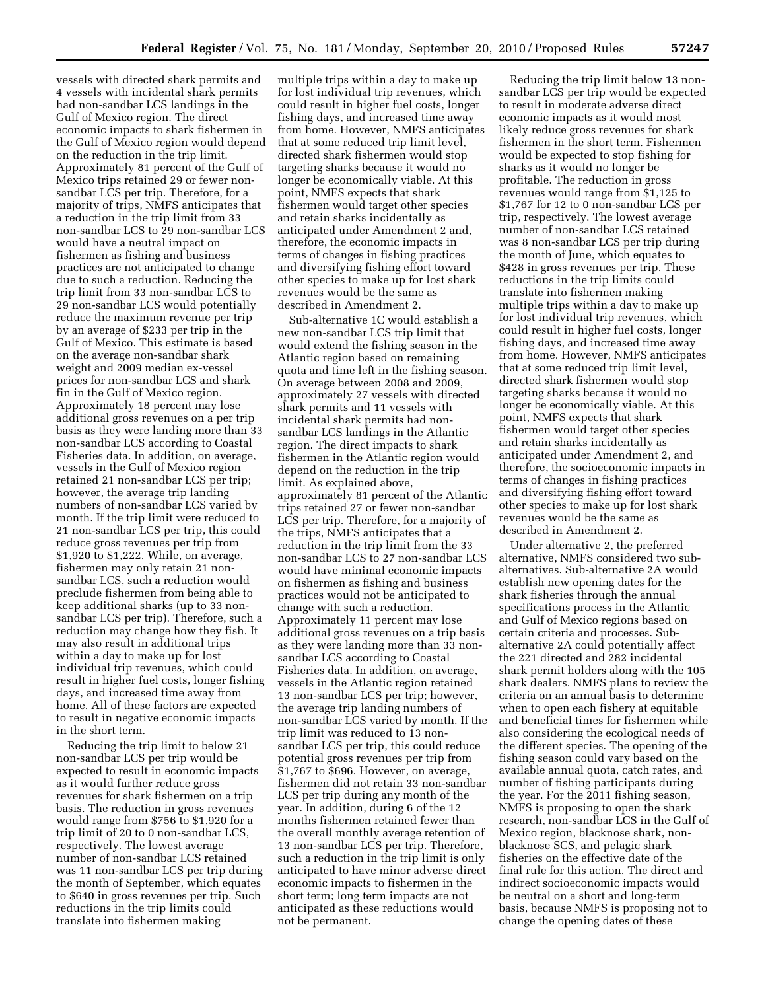vessels with directed shark permits and 4 vessels with incidental shark permits had non-sandbar LCS landings in the Gulf of Mexico region. The direct economic impacts to shark fishermen in the Gulf of Mexico region would depend on the reduction in the trip limit. Approximately 81 percent of the Gulf of Mexico trips retained 29 or fewer nonsandbar LCS per trip. Therefore, for a majority of trips, NMFS anticipates that a reduction in the trip limit from 33 non-sandbar LCS to 29 non-sandbar LCS would have a neutral impact on fishermen as fishing and business practices are not anticipated to change due to such a reduction. Reducing the trip limit from 33 non-sandbar LCS to 29 non-sandbar LCS would potentially reduce the maximum revenue per trip by an average of \$233 per trip in the Gulf of Mexico. This estimate is based on the average non-sandbar shark weight and 2009 median ex-vessel prices for non-sandbar LCS and shark fin in the Gulf of Mexico region. Approximately 18 percent may lose additional gross revenues on a per trip basis as they were landing more than 33 non-sandbar LCS according to Coastal Fisheries data. In addition, on average, vessels in the Gulf of Mexico region retained 21 non-sandbar LCS per trip; however, the average trip landing numbers of non-sandbar LCS varied by month. If the trip limit were reduced to 21 non-sandbar LCS per trip, this could reduce gross revenues per trip from \$1,920 to \$1,222. While, on average, fishermen may only retain 21 nonsandbar LCS, such a reduction would preclude fishermen from being able to keep additional sharks (up to 33 nonsandbar LCS per trip). Therefore, such a reduction may change how they fish. It may also result in additional trips within a day to make up for lost individual trip revenues, which could result in higher fuel costs, longer fishing days, and increased time away from home. All of these factors are expected to result in negative economic impacts in the short term.

Reducing the trip limit to below 21 non-sandbar LCS per trip would be expected to result in economic impacts as it would further reduce gross revenues for shark fishermen on a trip basis. The reduction in gross revenues would range from \$756 to \$1,920 for a trip limit of 20 to 0 non-sandbar LCS, respectively. The lowest average number of non-sandbar LCS retained was 11 non-sandbar LCS per trip during the month of September, which equates to \$640 in gross revenues per trip. Such reductions in the trip limits could translate into fishermen making

multiple trips within a day to make up for lost individual trip revenues, which could result in higher fuel costs, longer fishing days, and increased time away from home. However, NMFS anticipates that at some reduced trip limit level, directed shark fishermen would stop targeting sharks because it would no longer be economically viable. At this point, NMFS expects that shark fishermen would target other species and retain sharks incidentally as anticipated under Amendment 2 and, therefore, the economic impacts in terms of changes in fishing practices and diversifying fishing effort toward other species to make up for lost shark revenues would be the same as described in Amendment 2.

Sub-alternative 1C would establish a new non-sandbar LCS trip limit that would extend the fishing season in the Atlantic region based on remaining quota and time left in the fishing season. On average between 2008 and 2009, approximately 27 vessels with directed shark permits and 11 vessels with incidental shark permits had nonsandbar LCS landings in the Atlantic region. The direct impacts to shark fishermen in the Atlantic region would depend on the reduction in the trip limit. As explained above, approximately 81 percent of the Atlantic trips retained 27 or fewer non-sandbar LCS per trip. Therefore, for a majority of the trips, NMFS anticipates that a reduction in the trip limit from the 33 non-sandbar LCS to 27 non-sandbar LCS would have minimal economic impacts on fishermen as fishing and business practices would not be anticipated to change with such a reduction. Approximately 11 percent may lose additional gross revenues on a trip basis as they were landing more than 33 nonsandbar LCS according to Coastal Fisheries data. In addition, on average, vessels in the Atlantic region retained 13 non-sandbar LCS per trip; however, the average trip landing numbers of non-sandbar LCS varied by month. If the trip limit was reduced to 13 nonsandbar LCS per trip, this could reduce potential gross revenues per trip from \$1,767 to \$696. However, on average, fishermen did not retain 33 non-sandbar LCS per trip during any month of the year. In addition, during 6 of the 12 months fishermen retained fewer than the overall monthly average retention of 13 non-sandbar LCS per trip. Therefore, such a reduction in the trip limit is only anticipated to have minor adverse direct economic impacts to fishermen in the short term; long term impacts are not anticipated as these reductions would not be permanent.

Reducing the trip limit below 13 nonsandbar LCS per trip would be expected to result in moderate adverse direct economic impacts as it would most likely reduce gross revenues for shark fishermen in the short term. Fishermen would be expected to stop fishing for sharks as it would no longer be profitable. The reduction in gross revenues would range from \$1,125 to \$1,767 for 12 to 0 non-sandbar LCS per trip, respectively. The lowest average number of non-sandbar LCS retained was 8 non-sandbar LCS per trip during the month of June, which equates to \$428 in gross revenues per trip. These reductions in the trip limits could translate into fishermen making multiple trips within a day to make up for lost individual trip revenues, which could result in higher fuel costs, longer fishing days, and increased time away from home. However, NMFS anticipates that at some reduced trip limit level, directed shark fishermen would stop targeting sharks because it would no longer be economically viable. At this point, NMFS expects that shark fishermen would target other species and retain sharks incidentally as anticipated under Amendment 2, and therefore, the socioeconomic impacts in terms of changes in fishing practices and diversifying fishing effort toward other species to make up for lost shark revenues would be the same as described in Amendment 2.

Under alternative 2, the preferred alternative, NMFS considered two subalternatives. Sub-alternative 2A would establish new opening dates for the shark fisheries through the annual specifications process in the Atlantic and Gulf of Mexico regions based on certain criteria and processes. Subalternative 2A could potentially affect the 221 directed and 282 incidental shark permit holders along with the 105 shark dealers. NMFS plans to review the criteria on an annual basis to determine when to open each fishery at equitable and beneficial times for fishermen while also considering the ecological needs of the different species. The opening of the fishing season could vary based on the available annual quota, catch rates, and number of fishing participants during the year. For the 2011 fishing season, NMFS is proposing to open the shark research, non-sandbar LCS in the Gulf of Mexico region, blacknose shark, nonblacknose SCS, and pelagic shark fisheries on the effective date of the final rule for this action. The direct and indirect socioeconomic impacts would be neutral on a short and long-term basis, because NMFS is proposing not to change the opening dates of these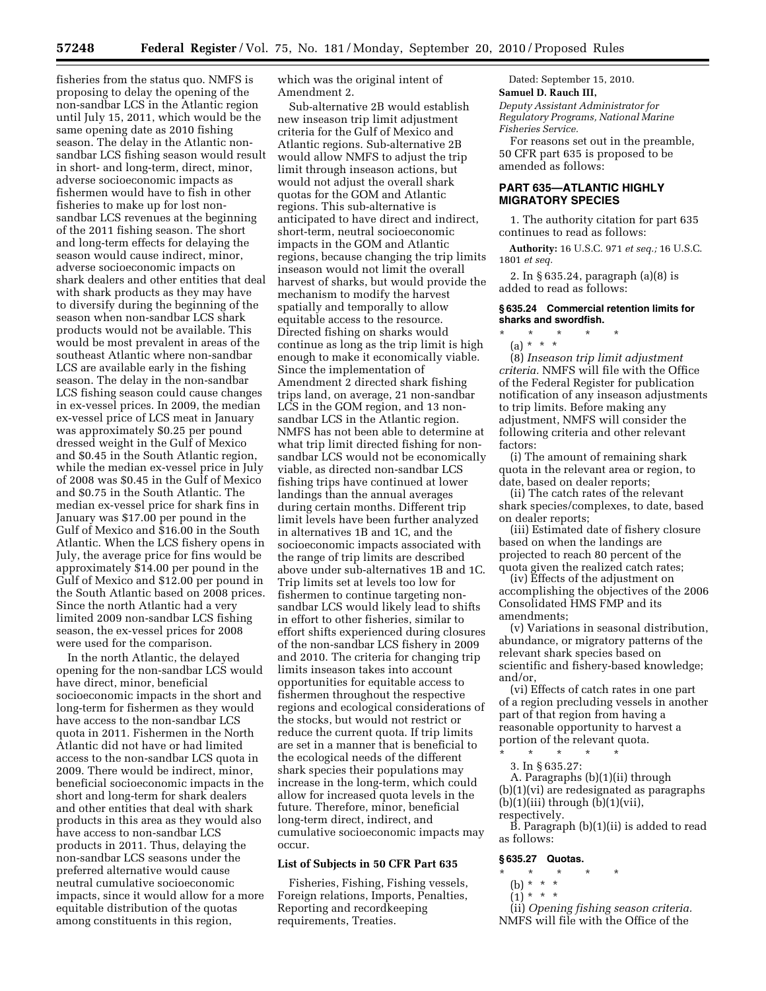fisheries from the status quo. NMFS is proposing to delay the opening of the non-sandbar LCS in the Atlantic region until July 15, 2011, which would be the same opening date as 2010 fishing season. The delay in the Atlantic nonsandbar LCS fishing season would result in short- and long-term, direct, minor, adverse socioeconomic impacts as fishermen would have to fish in other fisheries to make up for lost nonsandbar LCS revenues at the beginning of the 2011 fishing season. The short and long-term effects for delaying the season would cause indirect, minor, adverse socioeconomic impacts on shark dealers and other entities that deal with shark products as they may have to diversify during the beginning of the season when non-sandbar LCS shark products would not be available. This would be most prevalent in areas of the southeast Atlantic where non-sandbar LCS are available early in the fishing season. The delay in the non-sandbar LCS fishing season could cause changes in ex-vessel prices. In 2009, the median ex-vessel price of LCS meat in January was approximately \$0.25 per pound dressed weight in the Gulf of Mexico and \$0.45 in the South Atlantic region, while the median ex-vessel price in July of 2008 was \$0.45 in the Gulf of Mexico and \$0.75 in the South Atlantic. The median ex-vessel price for shark fins in January was \$17.00 per pound in the Gulf of Mexico and \$16.00 in the South Atlantic. When the LCS fishery opens in July, the average price for fins would be approximately \$14.00 per pound in the Gulf of Mexico and \$12.00 per pound in the South Atlantic based on 2008 prices. Since the north Atlantic had a very limited 2009 non-sandbar LCS fishing season, the ex-vessel prices for 2008 were used for the comparison.

In the north Atlantic, the delayed opening for the non-sandbar LCS would have direct, minor, beneficial socioeconomic impacts in the short and long-term for fishermen as they would have access to the non-sandbar LCS quota in 2011. Fishermen in the North Atlantic did not have or had limited access to the non-sandbar LCS quota in 2009. There would be indirect, minor, beneficial socioeconomic impacts in the short and long-term for shark dealers and other entities that deal with shark products in this area as they would also have access to non-sandbar LCS products in 2011. Thus, delaying the non-sandbar LCS seasons under the preferred alternative would cause neutral cumulative socioeconomic impacts, since it would allow for a more equitable distribution of the quotas among constituents in this region,

which was the original intent of Amendment 2.

Sub-alternative 2B would establish new inseason trip limit adjustment criteria for the Gulf of Mexico and Atlantic regions. Sub-alternative 2B would allow NMFS to adjust the trip limit through inseason actions, but would not adjust the overall shark quotas for the GOM and Atlantic regions. This sub-alternative is anticipated to have direct and indirect, short-term, neutral socioeconomic impacts in the GOM and Atlantic regions, because changing the trip limits inseason would not limit the overall harvest of sharks, but would provide the mechanism to modify the harvest spatially and temporally to allow equitable access to the resource. Directed fishing on sharks would continue as long as the trip limit is high enough to make it economically viable. Since the implementation of Amendment 2 directed shark fishing trips land, on average, 21 non-sandbar LCS in the GOM region, and 13 nonsandbar LCS in the Atlantic region. NMFS has not been able to determine at what trip limit directed fishing for nonsandbar LCS would not be economically viable, as directed non-sandbar LCS fishing trips have continued at lower landings than the annual averages during certain months. Different trip limit levels have been further analyzed in alternatives 1B and 1C, and the socioeconomic impacts associated with the range of trip limits are described above under sub-alternatives 1B and 1C. Trip limits set at levels too low for fishermen to continue targeting nonsandbar LCS would likely lead to shifts in effort to other fisheries, similar to effort shifts experienced during closures of the non-sandbar LCS fishery in 2009 and 2010. The criteria for changing trip limits inseason takes into account opportunities for equitable access to fishermen throughout the respective regions and ecological considerations of the stocks, but would not restrict or reduce the current quota. If trip limits are set in a manner that is beneficial to the ecological needs of the different shark species their populations may increase in the long-term, which could allow for increased quota levels in the future. Therefore, minor, beneficial long-term direct, indirect, and cumulative socioeconomic impacts may occur.

#### **List of Subjects in 50 CFR Part 635**

Fisheries, Fishing, Fishing vessels, Foreign relations, Imports, Penalties, Reporting and recordkeeping requirements, Treaties.

Dated: September 15, 2010. **Samuel D. Rauch III,** 

*Deputy Assistant Administrator for Regulatory Programs, National Marine Fisheries Service.* 

For reasons set out in the preamble, 50 CFR part 635 is proposed to be amended as follows:

### **PART 635—ATLANTIC HIGHLY MIGRATORY SPECIES**

1. The authority citation for part 635 continues to read as follows:

**Authority:** 16 U.S.C. 971 *et seq.;* 16 U.S.C. 1801 *et seq.* 

2. In § 635.24, paragraph (a)(8) is added to read as follows:

#### **§ 635.24 Commercial retention limits for sharks and swordfish.**

\* \* \* \* \*

(a) \* \* \* (8) *Inseason trip limit adjustment criteria.* NMFS will file with the Office of the Federal Register for publication notification of any inseason adjustments to trip limits. Before making any adjustment, NMFS will consider the following criteria and other relevant factors:

(i) The amount of remaining shark quota in the relevant area or region, to date, based on dealer reports;

(ii) The catch rates of the relevant shark species/complexes, to date, based on dealer reports;

(iii) Estimated date of fishery closure based on when the landings are projected to reach 80 percent of the quota given the realized catch rates;

(iv) Effects of the adjustment on accomplishing the objectives of the 2006 Consolidated HMS FMP and its amendments;

(v) Variations in seasonal distribution, abundance, or migratory patterns of the relevant shark species based on scientific and fishery-based knowledge; and/or,

(vi) Effects of catch rates in one part of a region precluding vessels in another part of that region from having a reasonable opportunity to harvest a portion of the relevant quota.

- \* \* \* \* \*
	- 3. In § 635.27:

A. Paragraphs (b)(1)(ii) through (b)(1)(vi) are redesignated as paragraphs  $(b)(1)(iii)$  through  $(b)(1)(vii)$ , respectively.

B. Paragraph (b)(1)(ii) is added to read as follows:

#### **§ 635.27 Quotas.**

- \* \* \* \* \*
	- (b) \* \* \*
	- $(1)^*$  \* \* \*

(ii) *Opening fishing season criteria.*  NMFS will file with the Office of the